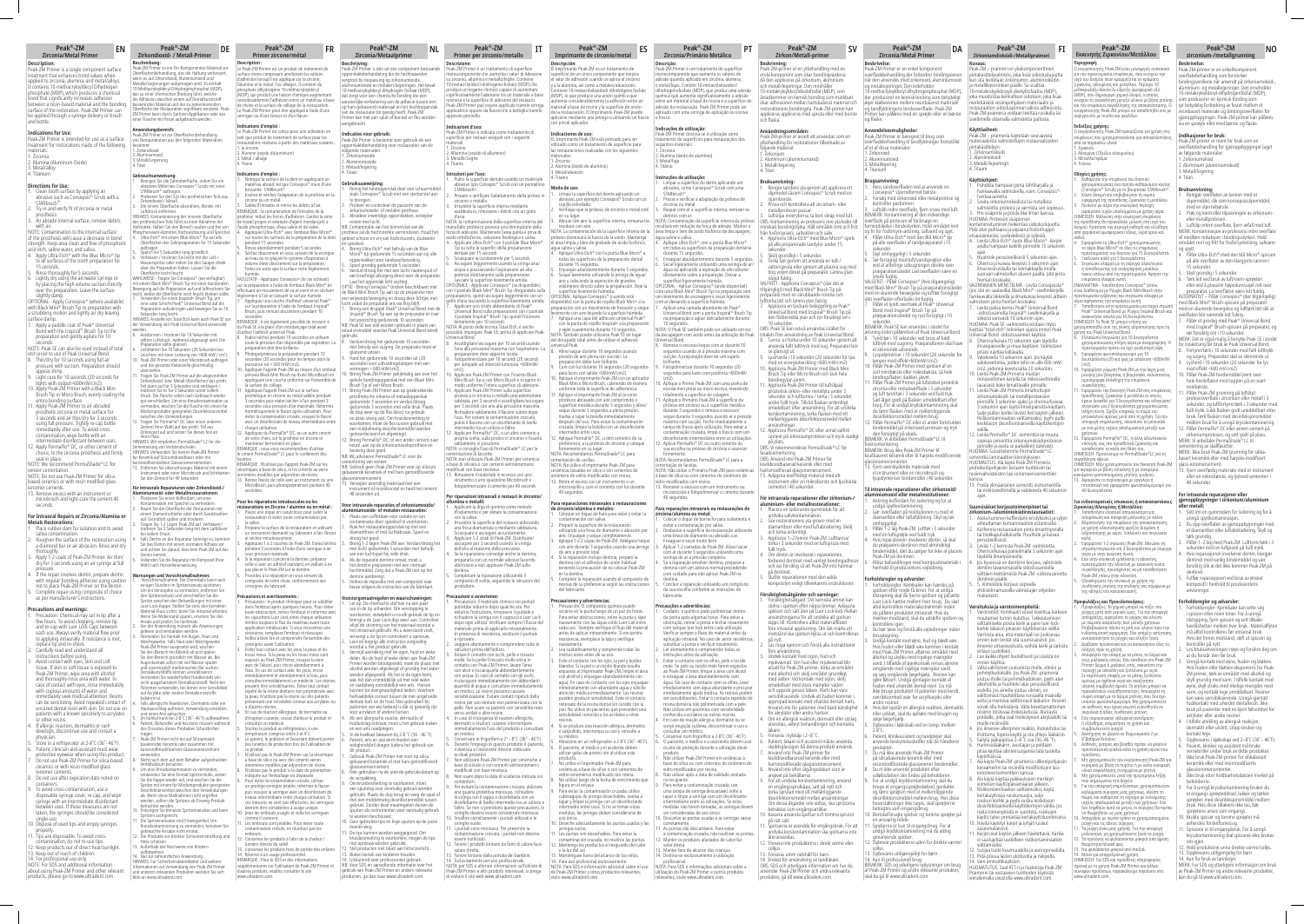### **Peak®-ZM Zirconia/Metal Primer**

**Peak®-ZM**

**Peak®-ZM Zirconia/Primário Metálico**

**Peak®-ZM Primer per zirconio/metallo**

### **Peak®-ZM Zirkon/Metall-primer**

### **Peak®-ZM Primer zircone/métal**

**Peak®-ZM Imprimante de circonio/metal**

### **Peak®-ZM Zirconia/Metal Primer**

### **Peak®-ZM**

**Indications for Use:**<br>Peak-ZM Primer is intended for use as a surface<br>treatment for restorations made of the following<br>materials: 1. Zirconia 2. Alumina (Aluminum Oxide) 3. Metal/alloy 4. Titanium

## **Directions for Use:**<br>1. Clean tooth surface by applying are

**Description:** Peak-ZM Primer is a single component surface treatment that enhances bond values when applied to zirconia, alumina, and metal/alloys. It contains 10-methacryloyldecyl Dihydrogen phosphate (MDP), which produces a chemical bond that significantly increases adhesion between a resin-based material and the bonding surface of the restoration. Peak-ZM Primer can be applied through a syringe delivery or brush and bottle.

- 1. Clean tooth surface by applying an abrasive such as Consepsis® Scrub with a STARbrush®. 2. Try in and verify fit of zirconia or metal
- prosthesis. 3. Air abrade internal surface, remove debris with air.

NOTE: Contamination to the internal surface of the prosthesis will cause a decrease in bond

strength. Keep area clean and free of phosphoric<br>acid etch, saline water, and saliva.<br>4. Apply Ultra-Etch® with the Blue Micro® tip<br>to all surfaces of the tooth preparation for<br>15 seconds.

5. Rinse thoroughly for 5 seconds. 6. Lightly dry using the air/water syringe or

by placing the high volume suction directly over the preparation. Leave the surface

slightly damp. OPTIONAL - Apply Consepsis® (where available) with Black Mini® Brush Tip to preparation with a scrubbing motion and lightly air dry leaving surface damp.

7. Apply a puddle coat of Peak® Universal Bond with the Inspiral® Brush Tip to the preparation and gently agitate for 10

**Precautions and warnings:**<br>1. Precaution: Chemical may set in tip after a<br>few hours. To avoid clogging, remove tip<br>and re-cap with Luer Lock Caps between each use. Always verify material flow prior to applying intraorally. If resistance is met, place tip and re-check. 2. Carefully read and understand all

seconds. NOTE: Peak SE can also be used instead of total etch prior to use of Peak Universal Bond. 8. Thin/dry for 10 seconds using full air pressure with suction. Preparation should

instructions before using,<br>3. Avoid contact with eyes, skin and soft<br>tissue. If skin or soft tissue is exposed to<br>Peak-ZM Primer, wipe area with alcohol<br>and thoroughly rinse area with water. In<br>case of contact with eyes, r with copious amounts of water and

immediately seek medical attention. Resins can be sensitizing. Avoid repeated contact of<br>uncured dental resin with skin. Do not use on<br>patients with a known sensitivity to acrylates<br>or other resins.<br>4. If allergic reaction, dermatitis or rash<br>develops, discontinue

appear shiny. 9. Light cure for 10 seconds (20 seconds for

physician. 5. Store in a refrigerator at 2-8˚C (36˚- 46˚F). Patient, clinician and assistant must wea

lights with output<600mW/cm2). 10. Apply Peak-ZM Primer with a Black Mini Brush Tip or Micro Brush, evenly coating the

entire bonding surface.<br>
11. Apply Peak-ZM Primer to air abraded<br>
prosthetic zirconia or metal surface for<br>
3 seconds and air thin/dry for 3 seconds<br>
using full pressure. Tightly re-cap bottle<br>
immediately after use. To av contamination, wipe bottle with an rmediate disinfectant between use

**Beschrijving:** Peak-ZM Primer is één uit een component bestaande oehandeling die de he vergroot bij toepassing op zirkoniumoxide,<br>aluminiumoxide en metalen/legeringen. Het bevat<br>10-methacryloyldecyl dihydrogen fosfaat (MDP), dat zorgt voor een chemische binding die een aanzienlijke verbetering van de adhesie tussen een op hars gebaseerd materiaal en het hechtoppervlak van de restauratie tot gevolg heeft. Peak-ZM mer kan met een spuit of borstel en fles worder

12. Apply PermaFlo® DC, or other cement of choice, to the zirconia prosthesis and firmly seat in place. NOTE: We recommend PermaShade® LC for

- veneer cementation. NOTE: Do not use Peak-ZM Primer for silica-based ceramics or with resin modified glass
- ionomer cements. 13. Remove excess with an instrument or

angebracht. **Indicaties voor gebruik:**

microbrush and light-cure the cement 40 seconds.

### **For Intraoral Repairs or Zirconia/Alumina or**

**Metals Restorations:**<br>1. Place rubber dam for isolation and to avoid<br>saliva contamination.<br>2. Roughen the surface of the restoration using a diamond bur or air abrasion. Rinse and dr

thoroughly. 3. Apply 1-2 coats of Peak-ZM Primer. Air thin/

dry for 3 seconds using an air syringe at full pressure. 4. If the repair involves dentin, prepare dentin

with regular bonding adhesive using caution not to place Peak-ZM Primer on the dentin. 5. Complete repair using composite of choice as per manufacturer's instructions.

**Gebruiksaanwijzing:**<br>1. Reinig het tandoppervlak door een schuurmiddel<br>20als Consepsis® Scrub met een sterborstel aan te brengen. 2. Probeer en controleer de pasvorm van de zirkoniumoxide- of metalen prothese. 3. Abradeer inwendige oppervlakken, verwijder resten met lucht. NB: Contaminatie van het binnenvlak van de prothese zal de hechtsterkte verminderen. Houd het gebied schoon en vrij van fosforzuurets, zoutwater en speeksel. 4. Breng Ultra-Etch® met behulp van de Blue Micro®-tip gedurende 15 seconden aan op alle oppervlakken voor tandvoorbereiding. 5. Spoel grondig gedurende 5 seconden. 6. Verdun/droog het met een lucht-/waterspuit of een krachtige afzuiging direct over de preparatie. Laat het oppervlak licht vochtig. OPTIE - Breng Consepsis® (indien beschikbaar) met de Black Mini Brush Tip aan op de preparatie met een wrijvende beweging en droog deze lichtjes met lucht zodat de preparatie iets vochtig blijft. 7. Breng een druppel Peak® Universal Bond met de Inspiral® Brush Tip aan op de preparatie en roer het voorzichtig gedurende 10 seconden. NB: Peak SE kan ook worden gebruikt in plaats van kan ook worden gebruiken plaats va<br>Idel voordat Peak Universal Bond wor gebruikt. 8. Verdun/droog het gedurende 10 seconden met behulp van zuiging. De preparatie moet er glanzend uitzien. 9. Hard het gedurende 10 seconden uit (20 seconden voor uithardingslampen met een vermogen < 600 mW/cm2). 10. Breng Peak-ZM Primer gelijkmatig aan over het

protective eyewear when using this product. 7. Do not use Peak-ZM Primer for silica-based ceramics or with resin modified glass

**Voor intraorale reparaties of zirkoniumoxide/<br>aluminiumoxide- of metalen restauraties:<br>1. Plaats een cofferdam voor isolatie en om<br>contaminatie door speeksel te voorkomen.** 2. Ruw het restauratieoppervlak op met een diamantfrees of met luchtabrasie. Spoel en droog het goed. 3. Breng 1-2 lagen Peak-ZM aan. Verdun/droog het met lucht gedurende 3 seconden met behulp van een luchtspuit bij volle druk. 4. Als de reparatie dentine omvat, moet u het dentine prepareren met een normaal hechtmiddel. Zorg dat u Peak-ZM niet op het dentine aanbrengt. 5. Voltooi de reparatie met een composiet naar keuze volgens de instructies van de fabrikant. **Voorzorgsmaatregelen en waarschuwingen:** 1. Let op: De chemische stof kan na een paar uur in de tip uitharden. Om verstopping te voorkomen, verwijdert u na elk gebruik de tip en brengt u de Luer Lock-dop weer aan. Controleer

ionomer cements. 8. Do not use after expiration date noted on containers. 9. To avoid cross-contamination, use a

disposable syringe cover, re-cap, and wipe syringe with an intermediate disinfectant between uses. If these measures are not taken, the syringes should be considered

- single-use. 10. Dispose of used tips and empty syringes properly. 11. Tips are disposable. To avoid cross-
- .<br>phtamination, do not re-use tips
- 2. Keep products out of direct heat/sunlight 13. Keep out of reach of children.
- 

14. For professional use only. NOTE: For SDS and additional information about using Peak-ZM Primer and other relevant products, please go to www.ultradent.com.

entre um material à base de resina e a superfície de adesão da restauração. Peak-ZM Primer pode ser aucsão da restadração: Feak-Zivi Frinci pot<br>aplicado com uma seringa de aplicação ou e

**Indicações de utilização:**<br>Peak-ZM Primer destina-se à utilização como<br>stratamento de superfícies para restaurações dos<br>seguintes materiais:<br>2. Alumina (óxido de alumínio)

**Instruções de utilização:**<br>1. Limpar a superfície do dente aplicando um<br>abrasivo, como Consepsis® Scrub com uma<br>5TARbrush®.<br>2. Provar e verificar a adaptação da prótese de<br>zircónia ou metal.

oppervlaktebehandeling voor restauraties van de

volgende materialen: 1. Zirkoniumoxide 2. Aluminiumoxide 3. Metaal/legering 4. Titaan

> *fa sua es*.<br>Abricante. **Precauções e advertências:**

ve de sinca ou com emiemo

sfato (MDP), que produz uma adesão

gehele bondingoppervlak met een Black Mini Brush Tip of een Micro Brush. 11. Breng Peak-ZM Primer aan op geabradeerde prosthetische zirkonia of metaaloppervlak

gedurende 3 seconden en verdun/droog gedurende 3 seconden met volle druk. Plaats de dop weer op de fles direct na gebruik en draai stevig vast. Om kruisbesmetting te voorkomen, moet de fles tussen gebruik met een middelmatig desinfectiemiddel worden gedesinfecteerd en afgeveegd. 12. Breng PermaFlo® DC, of een ander cement naar keuze, aan op de zirkoniumoxideprothese en bevestig deze goed. NB: Wij adviseren PermaShade® LC voor de cementering van veneer. NB: Gebruik geen Peak-ZM Primer voor op silicium gebaseerde keramiek of met hars gemodificeerde

> *n* ouuto.<br>Vão utilizar Peak-ZM Primer em base de sílica ou com cimentos de ionómero de vidro modificados por resina. 8. Não utilizar após a data de validade anotada no recipiente. 9. Para evitar a contaminação cruzada, use uma tampa de seringa descartável, volte a

glasionomeercement. 13. Verwijder overtollig materiaal met een instrument of microborstel en hard het cement 40 seconden uit.

rretamente.<br>pontas são descartáveis. Para evitar a contaminação cruzada, não reutilizar as pontas. 12. Manter os produtos afastados de calor/luz solar direta. 13. Manter fora do alcance das crianças. 14. Destina-se exclusivamente à utilização profissional. NOTA: Para SDS e informações adicionais sobre a utilização do Peak-ZM Primer e outros produtos relevantes, visite www.ultradent.com.

**Gebrauchsanweisung:**<br>1. Reinigen Sie die Zahnoberfläche, indem Sie ein abrasives Mittel wie Consepsis® Scrub mit einer STARbrush® auftragen. 2. Probieren Sie den Sitz des prothetischen Teils aus Zirkondioxid / Metall. 3. Die innere Oberfläche abstrahlen, Abrieb. mit Luftdruck entfernen. HINWEIS: Kontaminierung der inneren Oberfläche des prothetischen Teils führt zu einer Abnahme der Haftstärke. Halten Sie den Bereich sauber und frei von Phosphorsäure-Ätzmittel, Kochsalzlösung und Speichel. 4. Ultra-Etch® mit einem Blue Micro® Tip auf alle

Oberlächen der Zahnpräparation für 15 Sekunden<br>suftragen.<br>5. Spülen Sie 5 Sekunden lang gründlich.<br>6. Verblasen / trocknen Sie leicht mit der Luft-/<br>Wassersprize oder indem Sie den Sauger direkt<br>über die Präparation halten

altijd de stroming van het materiaal voordat u het intraoraal gebruikt. Als u weerstand voelt, vervangt u de tip en controleert u opnieuw. 2. Lees en begrijp alle instructies zorgvuldig voordat u het product gebruikt. 3. Vermijd aanraking met de ogen, huid en weke delen. Als de huid of weke delen aan Peak-ZM Primer worden blootgesteld, moet de plaats met

llem Luftdruck, während abgesaugt wird. Die Präparation sollte glänzen. 9. Lichthärten Sie 10 Sekunden (20 Sekunden bei.

). Albert durcle de primarie.<br>9. Photopolymérisez la préparation pendant 10<br>9. Photopolymerises pour les lampes dont la secondes (20 secondes pour les lampes dont la<br>puissance est < 600 mW/cm2).<br>10. Appliquer l'apprêt Peak-ZM au moyen d'un embout<br>pinceau Black Mini Brush ou d'une MicroBrush en<br>appliquant une couche uniforme sur l'ensemble d

alcohol worden afgeveegd of grondig met water worden afgespoeld. Als het in de ogen komt, was het dan onmiddellijk uit met veel water

en raadpleeg omniddellijk en arts. Harsen<br>kunnen tot overgevoeligheid leiden. Voorkom<br>herhaaldelijk contact tussen de niet-uitgeharde<br>dentale hars en de huid. Niet gebruiken bij<br>patienten van wie bekend is dat zij gevoelig

ren Platz.<br>FIS: Wir empfehlen PermaShade® LC für die Zementierung von Verblendschalen. HINWEIS: Verwenden Sie keinen Peak-ZM Primer für Keramik auf Siliciumdioxidbasis oder mit

**Für intraorale Reparaturen oder Zirkondioxid-/ Aluminiumoxid- oder Metallrestaurationen:**<br>1. Platzieren Sie einen Kofferdam, um eine<br>Kontamination mit Speichel zu verhindern.<br>2. Rauen Sie die Oberfläche der Restauration mit

einem Diamantschleifer oder durch Sandstrahlen<br>auf. Gründlich spülen und trocknen.<br>3. Tragen Sie 1-2 Lagen Peak-ZM auf. Verblasen/<br>trocknen Sie 3 Sekunden lang mit dem Luftbläser bei vollem Druck. 4. Falls Dentin an der Reparatur beteiligt ist, bereiten

> en een arts raadplegen. 5. In de koelkast bewaren bij 2-8 ˚C (36 - 46 ˚F). 6. Patiënt, arts en assistent moeten een veiligheidsbril dragen tijdens het gebruik van dit product. 7. Gebruik Peak-ZM Primer niet voor op silica miek of met hars gem glasionomeercement. 8. Niet gebruiken na de uiterste gebruiksdatum op de verpakking. 9. Om kruisbesmetting te voorkomen, moet een spuitdop voor eenmalig gebruik worden gebruikt. Plaats de dop terug en veeg de spuit af met een middelmatig desinfectiemiddel tussen iet een middelmaag desimecuemiddel tuss<br>ebruik. Zonder deze maatregelen dienen de spuiten als instrumenten voor eenmalig gebruik te worden beschouwd. 10. Gooi gebruikte tips en lege spuiten op de juiste

n Sie wiederholten Hautkontak<br>ehärtetem Dentalkunststoff. Nicht bei denen eine Se Patienten verwenden, bei denen eine Sensibilität auf Acrylate oder andere Dentalkunststoffe

> manier weg. 11. De tips kunnen worden weggegooid. Om kruisbesmetting te voorkomen, mogen de tips niet opnieuw worden gebruikt. 12. Stel producten niet bloot aan hitte/zonlicht. 13. Buiten bereik van kinderen houden. 14. Uitsluitend voor professioneel gebruik. NB: Voor SDS en aanvullende informatie over het gebruik van Peak-ZM Primer en andere relevante producten, ga dan naar www.ultradent.com.

por gebruik als een

tragen. 7. Peak-ZM Primer nicht bei auf Siliziumoxid-basierender Keramik oder zusammen mit erannik oder zusamme<br>lifiziertem Glasionome

**Descrição:** Peak-ZM Primer é um tratamento de superfície monocomponente que aumenta os valores de adesão quando aplicado em zircónia, alumina, e metal/ligas. Contém 10-metacriloiloxidecil

ca que aumenta signif

e frasco.

3. Metal/liga 4. Titânio

**Descrizione:**<br>Peak-ZM Primer è un trattamento di superficie<br>monocomponente che aumenta i valori di Adesione su zirconio, allumina e metallo/leghe. Contiene 10-metacriloildecil-diidrogeno-fostato (MDP) che produce un legame chimico capace di au vamente reaesione<br>e la superficie di ade resinosa e la superficie di adesione del restauro. Peak-ZM Primer può essere applicato tramite siringa applicatrice oppure da flaconcino a bottiglia tramite apposito pennello.

**Indicazioni d'uso:**<br>Peak-ZM Primer è indicato come trattamento di superficie per restauri eseguiti con i seguenti

.<br>Issido di alluminio

**Istruzioni per l'uso:**<br>1. Pulire la superficie dentale usando un materiale abrasivo tipo Consepis® Scrub con un pennellino STARbrush®. ni albi dolli .<br>'rovare e verificare l'adattamento della protesi i zirconio o metallo. 3. Irruvidire la superficie interna mediante asabbiatura, rimuovere i detriti con un getto

taminazione della superficie

manufatto protesico provoca una diminuzione della<br>forza di adesione. Mantenere l'area pulita e priva di<br>acido ortofosforico, soluzione fisiologica e saliva.<br>4. Applicare Ultra-Etch® con il puntale Blue Micro®<br>Tip su tutte

3. Raspar com ar a superfície interna, remover os detritos com ar. NOTA: Contaminação da superfície interna da prótese resultaria em redução da força de adesão. M ésandra em redução da rorça de duesdo: maneir<br>rea limpa e livre de ácido fosfórico de decapagen água salina e saliva. 4. Aplique Ultra-Etch® com a ponta Blue Micro® em todas as superfícies da preparação dentária durante 15 segundos. 5. Enxaguar abundantemente durante 5 segundos.

dentale per 15 secondi. 5. Sciacquare accuratamente per 5 secondi. 6. Asciugare leggermente usando la siringa aria/ acqua o posizionando l'aspirazione ad alta potenza direttamente sulla preparazione. Lasciare la superficie lievemente umida. OPZIONALE - Applicare Consepsis® (se disponibile) con il puntale Black Mini® Brush Tip sfregandolo sulla ne, quindi asciugare legge<br>a lasciando la superficie lie getto d'aria lasciando la superficie lievemente umida.<br>7. Applicare uno strato abbondante di Peak®<br>Universal Bond sulla preparazione con il puntale<br>il puntale Inspiral® Brush Tip, quindi frizionare

6. Secar ligeiramente utilizando uma seringa de ar/ água ou aplicando a aspiração de alto volume diretamente sobre a preparação. Deixar a superfície ligeiramente húmida. OPCIONAL - Aplicar Consepsis® (onde disponível)

com uma Black Mini® Brush Tip na preparação com<br>um movimento de escovagem e secar ligeiramente<br>com ar deixando a superfície húmida.<br>7. Aplicar uma camada abundante de Peak®<br>Universal Bond com a ponta Inspiral® Brush Tip<br>na

intermedio tra un utilizzo e l'altro. 12. Applicare PermaFlo® DC, o un altro cemento a propria scelta, sulla protesi in zirconio e fissarla ente in posizione.<br>าsiglia l'uso di PermaShade® LC per la

NOTA: si consiglia l'uso di PermaShade® LC per la<br>cementazione di faccette.<br>NOTA: non utilizzare Peak-ZM Primer per ceramica<br>a base di silicato o con cementi vetroionomerici<br>modificati con base resinosa.<br>13. Rimuovere il m

10 segundos. NOTA: O Peak SE também pode ser utilizado em vez da decapagem com ácido antes da utilização do Peak Universal Bond. 8. Remova o excesso/seque com ar durante 10 segundos usando ar à pressão máxima com sucção. A preparação deve ter um aspeto

brilhante. 9. Fotopolimerizar durante 10 segundos (20 segundos para luzes com potência <600mW/ cm2). 10. Aplique o Primer Peak-ZM com uma ponta de

escova mini preta ou micro escova, revestindo totalmente a superfície de colagem. 11. Aplique o Primário Peak-ZM à superfície da prótese em zircónio ou à superfície metálica

durante 3 segundos e remova o excesso/ seque durante 3 segundos usando ar à pressão máxima com sucção. Feche imediatamente a tampa do frasco após utilização. Para evitar a contaminação cruzada, limpe o frasco com um

desinfectante intermediário entre as utilizações. 12. Aplicar PermaFlo® DC ou outro cimento da sua escolha na prótese de zircónia e assentar firmemente. NOTA: Recomendamos PermaShade® LC para a cimentação de facetas. NOTA: Não utilize o Primário Peak-ZM para cerâmicas à base de sílica ou com cimentos de ionômero de

13. Remover o excesso com um instrumento ou microescova e fotopolimerizar o cimento durante 40 segundos.

**Para reparações intraorais ou restaurações de<br>Para reparações intraorais de paradores de evidades de constituída de para isolamento e<br>evitar a contaminação por saliva.<br>2. Desbastar a superfície da restauração utilizando<br>u** 

siringhe vuote. 11. I puntali sono monouso. Per prevenire la contaminazione crociata, i puntali non devono essere riutilizzati. essere riutilizzati.<br>Tenere i prodotti lontano da fonti di calore/luce solare diretta.<br>solare diretta.<br>Tenere lontano dalla portata dei bambini. 13. Tenere lontano dalla portata dei bambini.<br>14. Esclusivamente per uso professionale.<br>NOTA: per SDS e ulteriori informazioni sull'utilizzo di<br>Peak-ZM Primer e altri prodotti interessati, si prega<br>di visitare il sito web

composito or<br>produttore.

com ar durante 3 segundos utilizando uma seringa de ar a pressão completa. 4. Se a reparação envolver dentina, preparar a dentina com um adesivo normal procedendo com cuidado para não aplicar Peak-ZM na

dentina. 5. Concluir a reparação utilizando um compósito da sua escolha conforme as instruções do

1. Cuidado: o químico pode polimerizar dentro<br>da ponta após algumas horas. Para evitar a<br>obstrução, retirar a ponta e fechar novamente<br>com tampas luer lock entre cada utilização.<br>Verificar sempre o fluxo do material antes

**Beskrivning:**<br>Peak-ZM-primer är en ytbehandling med en enda komponent som ökar bondingvärdena då den appliceras på zirkonium, aluminium och metall/legeringar. Den innehåller 10-metakryloyldecyldivätefosfat (MDP), som 18 metant j*rojnee jamateroside (mor ), s*<br>åstadkommer en kemisk bonding som n<br>ökar adhesionen mellan hartsbaserat m ökar adhesionen mellan hartsbaserat material och restorationens bondingyta. Peak-ZM-primer kan appliceras appliceras med spruta eller med borste och flaska.

**Användningsområden:**<br>Peak-ZM-primer är avsett att användas som en<br>ytbehandling för restorationer tillverkade av följande material: 1. Zirkonium 2. Aluminium (aluminiumoxid) 3. Metall/legering 4. Titan

aplicação intraoral. No caso de sentir resistência, substituir a ponta e verificar novamente. 2. Ler atentamente e compreender todas as instruções antes da utilização. 3. Evitar o contacto com os olhos, pele e tecido

mole. Se pele ou tecido mole forem expostos<br>ao Peak-ZM Primer, limpar a área com álcool<br>e enxaguar a área abundantemente com<br>água. No caso de contacto com os olhos, lavar

imediatamente com água abundante e procurar imediatamente ajuda médica. As resinas podem ser sensibilizantes. Evitar o contacto repetido de

resina dentária não polimerizada com a pele. Não utilizar em pacientes com sensibilidade conhecida a acrilatos ou outras resinas. 4. Em caso de reação alérgica, dermatite ou se

surgir erupção cutânea, descontinuar o uso e consultar um médico. 5. Conservar num frigorífico a 2-8˚C (36˚- 46˚F). 6. O paciente, o médico e o assistente devem usar óculos de proteção durante a utilização deste produto.

tapar e limpe a seringa com um desinfetante<br>intermediário entre as utilizações. Se estas<br>medidas não forem tomadas, as seringas devem<br>ser consideradas de uso único.<br>10. Descartar as pontas usadas e as seringas vazias<br>corre

- 
- **Bruksanvisning:**<br>1. Rengör tandens yta genom att applicera ett<br>slipmedel såsom Concepsis® Scrub med en
- stjärnborste. 2. Pröva och kontrollera att zirconium- eller
- metallprotesen passar. 3. Luftslipa innerytorna, ta bort skräp med luft. OBS: Kontaminering av protesens inre yta leder till minskad bondingstyrka. Håll området rent och fritt från fosforsyraets, saltvatten och saliv. 4. Applicera Ultra-Etch® med Blue Micro®-spets på alla preparerade tandytor under 15
	-
- sekunder. 5. Skölj grundligt i 5 sekunder. 6. Torka lätt genom att använda en luft-/ vattenspruta eller genom att placera sug med hög volym direkt på preparatet. Lämna ytan
- något fuktig. VALFRITT Applicera Consepsis® (där det är tillgängligt) med Black Mini® Brush Tip på preparatet med en skrubbande rörelse och lufttorka lätt och lämna ytan fuktig. 7. Applicera en tjockare beläggning av Peak® Universal Bond med Inspiral® Brush Tip på
- den förberedda ytan och rör försiktigt om i 10 sekunder. OBS: Peak SE kan också användas istället för totalets före användning av Peak Universal Bond. 8. Tunna ur/torka under 10 sekunder genom att använda fullt lufttryck med sug. Preparatet bör
- se glansigt ut. 9. Ljushärda i 10 sekunder (20 sekunder för ljus med en energiutveckling <600 mW/cm2). 10. Applicera Peak-ZM Primer med Black Mini Brush Tip eller Micro Brush och täck hela
- bondingytan jämnt. 11. Applicera Peak-ZM Primer till luftslipad prostetisk zirkon- eller metallyta under 3 sekunder och lufttunna / torka i 3 sekunder under fullt tryck. Tillslut flaskan ordentligt omedelbart efter användning. För att undvika korskontaminering, torka flaskan med ett mellanliggande desinfektionsmedel mellan
- användningar. 12. Applicera PermaFlo® DC eller annat valfritt cement på zirkoniumprotesen och tryck stadigt
- på plats.<br>på plats.<br>DBS: Vi rekommenderar PermaShade® LC för
- OBS: Vi rekommenderar PermaShade® LC för fasadcementering. OBS: Använd inte Peak-ZM Primer för kiseldioxidbaserad keramik eller med
- hartsmodifierad glasjonomercement. 13. Avlägsna överflödigt material med ett
- instrument eller en mikroborste och ljushärda cementet i 40 sekunder.

# **För intraorala reparationer eller zir<br>aluminium- eller metallrestoration**

- stelna i spetsen efter några timmar. Avlägsna<br>spetsen och sätt åre på Luer Lock-lock mellan<br>användningarna för att undvika att spetsen<br>täpps till. Kontrollera alltid materiallfödet<br>före intraoral applicering. Om det märks
	-
- före användning. 3. Undvik kontakt med ögon, hud och
- mjukvävnad. Om hud eller mjukvävnad blir<br>utsatt för Peak-ZM-primer, torka av området<br>med alkohol och skölj området grundligt<br>med vatten. Vid kontakt med ögon, skölj<br>omedelbart med stora mängder vatten
- och uppsök genast läkare. Harts kan vara<br>sensibiliserande. Undvik att huden kommer i<br>upprepad kontakt med ohärdat dentalt harts.<br>Använd inte för patienter med känd känslighet<br>för akrylater eller andra hartser.<br>4. Om en all
- utvecklas, avbryt behandlingen och kontakt läkare. 5. Förvaras i kylskåp i 2–8 ˚C. 6. Patient, läkare och assistent måste använda skyddsglasögon då denna produkt används.
	-

**Beschreibung:** Peak-ZM Primer ist ein Ein-Komponenten-Material zur Oberflächenbehandlung, das die Haftung verbessert, wenn es auf Zirkondioxid, Aluminiumoxid und Metalle/Legierungen aufgetragen wird. Es enthält 10-Methacryloyldecyl-Dihydrogenphosphat (MDP), das zu einer chemischen Bindung führt, welche die Adhäsion zwischen einem auf Dentalkunststoff basierenden Material und der zu zementierenden Oberfläche der Restauration signifikant verstärkt. Peak-ZM Primer kann durch Spritzen-Applikation oder aus einer Flasche mit Pinsel aufgebracht werden.

# **Anwendungsbereich:** Peak-ZM Primer ist zur Oberflächenbehandlung

er staannen en en en den<br>aus den folgenden Mat

bestimmt: 1. Zirkondioxid 2. Aluminumoxid 3. Metall/Legierung 4. Titan **Indications d'emploi :**<br>Le Peak-ZM Primer est conçu pour une utilisation en<br>tant que produit de traitement de surface pour les<br>restaurations réalisées à partir des matériaux suivants : 1. la zircone 2. Alumine (oxyde d'aluminium) 3. Métal / alliage 4. Titane

**Indications d'emploi :**<br>1. Mettoyez la surface de la dent en appliquant un<br>matériau abrasif, tel que Consepsis® muni d'une<br>brossette STARbrush®. 2. Insérez et vérifiez l'adaptation de la prothèse en la zircone ou en métal. 3. Sablez ll'intrados et retirez les débris à l'air. REMARQUE : la contamination de l'intrados de la prothèse réduit les forces d'adhésion. Gardez la zone<br>de travail propre et exempte d'agent mordançant à<br>l'acide phosphorique, d'eau saline et de salive.<br>4. Appliquez Ultra-Etch® avec l'embout Blue Micro® utes les surfaces de la préparation de la d

sur la préparation à l'aide de l'embout Inspira rush, puis remuez doucement pendant 10 secondes. REMARQUE : il est également possible de recourir à

WAHLWEISE - Tragen Sie Consepsis® (wo verfügbar) mit einem Black Mini® Brush Tip mit einer bürstenden Bewegung auf die Präparation auf und lufttrocknen Sie leicht, wobei die Oberfläche noch feucht bleiben sollte.

> la surface de collage. 11. Appliquez l'apprêt Peak-ZM sur la surface prorbétique en zircone ou métal sablée pendant<br>3 secondes puis etaler/sécher à l'air pendant 3<br>secondes sous pression d'air maximale. Refermez<br>hermétiquement le flacon après utilisation. Pour<br>éviter la contamination croisé

7. Verwenden Sie einen Inspiral® Brush Tip, um eine satte Schicht Peak® Universal Bond auf die Präparation aufzubringen und bewegen Sie es 10

Sekunden lang leicht. HINWEIS: Anstelle von Total Etch kann auch Peak SE vor der Verwendung von Peak Universal Bond verwendet werden. 8. Ausdünnen / trocknen für 10 Sekunden mit

Leuchten mit einer Leistung von <600 mW / cm2 10. Peak-ZM Primer oder einer Microbrush auftragen und die gesamte Klebestelle gleichmäßig überziehen. 11. Tragen Sie Peak-ZM Primer auf die abgestrahlten

Zirkondioxid- bav. Metall-Oberflächen des proth.<br>Terlondioxid- bav. Metall-Oberflächen des proth.<br>Terlotinen sie es für 3 Sekunden und verblasen /<br>Druck. Die Flasche sofort nach Gebrauch wieder<br>gut verschließen. Um eine Kr

et séchez minutieusement. 3. Appliquez 1 à 2 couches de Peak-ZM. Etalez/séchez dant 3 secondes à l'aide d'une seringue à ai ession maximale.<br>aration concerne la dentine, préparez 4. Si la réparation concerne la dentine, préparez<br>celle-ci avec un adhésif standard, en veillant à ne<br>pas placer le Peak-ZM sur la dentine.<br>5. Procédez à la réparation en vous servant du<br>composite de votre choix, conformém

**cautions et avertissements :<br>Précaution : le produit chimique peut se solidif** 

kunststoffverstärkten Glasionomerzementen. 13. Entfernen Sie überschüssiges Material mit einem Instrument oder einer Microbrush und lichthärten Sie den Zement für 40 Sekunden.

ces mesures entre chaque utilises.<br>The sont pas effectuées, les devront être considérées à usage unique. 10. Jetez les embouts usagés et videz les seringues comme il convient. n convient.<br>bouts sont jetables. Pour éviter toute contamination croisée, ne réutilisez pas les

*..*<br>ez les produits à l'abri de la chaleur lumière directe du soleil. 13. Conservez les produits hors de portée des enfants. 14. Réservé à un usage professionnel. REMARQUE : Pour le SDS et des informations supplémentaires sur l'utilisation de Peak-ZM Primer et d'autres produits, veuillez consulter le site

Sie das Dentin mit einem normalen Adhäsiv vor und achten Sie darauf, dass kein Peak-ZM auf das Dentin kommt. 5. Vollenden Sie die Reparatur mit Komposit Ihrer Wahl nach Herstelleranweisung.

**Warnungen und Vorsichtsmaßnahmen:** 1. Vorsichtsmaßnahme: Die Chemikalie kann nach

einigen Stunden im Spritzenansatz aushärten. Um ein Verstopfen zu vermeiden, entfernen Sie den Spritzenansatz und verschließen Sie die

2. Verifique que la prótesis de zirconio o metal esté en su lugar. 3. Abrase con aire la superficie interna, remueva los residuos con aire. NOTA: La contaminación de la superficie interna de la prótesis disminuirá la fuerza de la unión. Mantenga<br>el área limpia y libre de grabado de ácido fosfórico,<br>agua salina y saliva.<br>4. Aplique Ultra-Etch® con la punta Blue Micro® a

Spritze zwischen den Behandlungen mit einer Luer-Lock-Kappe. Stellen Sie stets den korrekten

Material-Fluss sicher, bevor Sie intraoral arbeiten.<br>Venn Sie Wierstand spüren, ersetzen Sie den<br>Ansatz und prüfen Sie nochmals.<br>2. Vor der Anwendung müssen alle Anweisungen<br>gelesen und verstanden werden.<br>3. Vermeiden Sie

bekannt ist. 4. Falls allergische Reaktionen, Dermatitis oder ein Hautausschlag auftreten, Verwendung einstellen und einen Arzt aufsuchen. 5. Im Kühlschrank bei 2-8˚C (36˚- 46˚F) aufbewahren.

6. Patient, Behandler und Assistenz müssen während des Einsatzes dieses Produktes Schutzbrillen

verwenden. 8. Nicht nach dem auf dem Behälter aufgedruckten Verfallsdatum benutzen. 9. Um eine Kreuzkontamination zu vermeiden, verwenden Sie eine Einmal-Spritzenhülle, setzen

Para reparaciones intraorales o restau **de zirconio/alúmina o metales:** 1. Coloque un dique de hule para aislar y evitar la contaminación con saliva. 2. Prepare la superficie de la restauración utilizando una fresa de diamante o abrasión por aire. Enjuague y seque completamente. 3. Aplique 1 o 2 capas de Peak-ZM. Adelgace/seque con aire durante 3 segundos usando<br>le aire a presión total. de aire a presión total. 4. Si la reparación incluye dentina, prepare la dentina con el adhesivo de unión habitual teniendo la precaución de no colocar Peak-ZM<br>eniendo la precaución de no colocar Peak-ZM<br>:n la dentina. en la dentina. 5. Complete la reparación usando el compuesto de resinas de su preferencia según las instrucciones del fabricante.

Sie die Kappe wieder auf, und wischen Sie die Spritze mit einem für Medizinprodukte geeigneten Desinfektionsmittel zwischen den Verwendungen ab. Wenn diese Maßnahmen nicht ergriffen werden, sollten die Spritzen als Einweg-Produkt

betrachtet werden. 10. Entsorgen Sie benutzte Spritzenansätze und leere Spritzen sachgerecht. 11. Die Spritzenansätze sind Einwegartikel. Um

Kreuzkontaminierung zu vermeiden, benutzen Sie gebrauchte Ansätze nicht erneut. 12. Die Produkte vor direkter Sonneneinstrahlung und Hitze schützen. 13. Außerhalb der Reichweite von Kindern

aufbewahren.<br>14. Nur zur zahnärztlichen Anwendung.<br>HINWEIS: Für Sicherheitsdatenblätter und weitere<br>Informationen zur Verwendung von Peak-ZM Primer<br>und anderen relevanten Produkten wenden Sie sich<br>bitte an www.ultradent.co

.<br>oduce una reacción alérgica, deri o sarpullido, interrumpa su uso y consulte a su médico. 5. Almacene en un refrigerador a 2-8˚C (36˚- 46˚F). 6. El paciente, el médico y el asistente deben utilizar gafas de protección al utilizar este producto. 7. No utilice el Imprimador Peak-ZM para cerámicas a base de sílice o con cementos de vidrio ionomérico modificado con resina. 8. No utilizar luego de la fecha de vencimiento que figura en el envase.

9. Para evitar la contaminación cruzada, utilice<br>cubreagujas de jeringa desechables, vuelva a<br>tapar y limpie la jeringa con un desinfectante<br>intermedio entre usos. Si no se toman estas<br>medidas, las jeringas deben considera

. . . .<br><sub>I</sub>e adecuadamente las puntas usadas y la jeringas vacías. 11. Las puntas son desechables. Para evitar la contaminación cruzada, no reutilice las puntas. Mantenga los productos al resguardo del calor<br>b la luz del sol. o la luz del sol. 13. Manténgase fuera del alcance de los niños. 14. Para uso profesional exclusivamente. NOTA: Para SDS e información adicional sobre el uso de Peak-ZM Primer y otros productos relevantes,

### **Beskrivelse:** Peak-ZM Primer er en enkel ko<br>overfladebehandling der forbe

overfladebehandling der forbedrer bindingsevnen<br>når den anvendes med zirkonoxid, aluminiumoxid<br>og metallegeringer. Den indeholder<br>10-methacryloyldecyl dihydrogenphosphat (MDP),<br>der producerer en kemisk binding som betydeli øger klæbeevnen mellem resinbaseret materiale<br>øger klæbeevnen mellem resinbaseret materiale<br>og tandfyldningens bindeoverflade. Peak-ZM

**Anvendelsesmuligheder:** Peak-ZM Primer er beregnet til brug som<br>overfladebehandling til tandfyldninger fremstillet<br>af et af disse materialer:<br>1. Zirkonoxid

materiali: 1. Zirconio

3. Metallo/Leghe 4. Titanio

d'aria.

lentamente per 10 secondi. NOTA: Al posto della tecnica Total-Etch, è anche possibile impiegare Peak SE, prima di applicare Peak Universal Bond.

8. Assottigliare/asciugare per 10 secondi usando<br>I'aria alla pressione massima con l'aspirazione. La<br>preparazione deve apparire lucida.<br>9. Fotopolimerizzare per 10 secondi (20 secondi<br>per lampade ad intensità luminosa <600

- 
- **aluminiumoxid eller metalrestitutioner:**<br>1. Anbring kofferdam for isolering og for at<br>undgå spytkontaminering.<br>2. Gør overfladen på restitutionen ru med et<br>diamantbor eller luftafslibning. Skyl og tør
- omhyggeligt. 3. Påfør 1-2 lag Peak-ZM. Lufttør i 3 sekunder med en luftsprøjte ved fuldt tryk. 4. Hvis reparationen involverer dentin, så skal
- du præparere dentinen med almindeligt bindemiddel, idet du sørger for ikke at placere Peak-ZM på dentinen. 5. Afslut behandlingen med kompositmateriale i
- henhold til producentens vejledning.

10. Applicare Peak-ZM Primer con l'inserto Black Mini Brush Tip o con Micro Brush e ricoprire in modo uniforme l'intera superficie di adesione. 11. Applicare Peak-ZM Primer sulla superficie protesica in zirconia o metallo precedentemete

sabbiata, per 3 secondi e assottigliare/asciugare<br>per 3 secondi con aria alla pressione massima.<br>Richiudere saldamente il flacone subito dopo<br>l'uso. Per evitare la contaminazione crociata,<br>pulire il flacone con un disinfet

### **Zirkoniumdioksidi-/Metallipraimeri Kuvaus:**

strumento o uno spazzolino Microbrush e fotopolimerizzare il cemento per 40 secondi.

**Per riparazioni intraorali o restauri in zirconio/**<br>**allumina o metalli:**<br>1. Applicare la diga di gomma come metodo disolamento e per evitare la contaminazione<br>con la saliva.<br>2. Irruvidire la superficie del restauro utili

Sciaquare e asciugare accuratmente.<br>3. Applicare 1-2 strati di Peak-ZM. Distribuire/<br>asciugare per 3 secondi usando la siringa<br>dell'aria al massimo della pressione.<br>4. Se la riparazione coinvolge anche la dentina,<br>preparar

Peak-ZM – praimeri on yksikompo<br>pintakäsittelyvalmiste, joka lisää s pintakäsittelyvalmiste, joka lisää sidostuslujuutta kun sitä levitetään zirkoniumin, alumiinioksidin ja metallilejeerinkien päälle. Se sisältää 10-metakrolyylidesyyli-divetyfosfaattia (MDP), joka muodostaa kemiallisen sidoksen, joka lisää kittävästi resiinipohjaisen mate restauraation sidostuspinnan välistä adheesiota. Peak-ZM praimeria voidaan levittää ruiskulla tai siveltimellä ottamalla valmistetta pullosta.

- Peak-ZM praimeria kä materiaaleista valmistettujen restauraatioiden pintakäsittelyyn: 1. Zirkoniumoksidi
- 2. Alumiinioksidi 3. Metalli/lejeeringit 4. Titaani

5. Completare la riparazione utilizzando il composito di scelta, seguendo le istruzioni del

**Precauzioni è avvertenze:**<br>
1. Precauzioni: il materiale chimico nei puntali<br>
potrebbe indurirsi dopo qualche ora. Per<br>
evitare l'ostruzione, rimovere il puntale e<br>
richiudere la sininga con il cappuccio Luer Lock<br>
dopo o

- **Käyttöohjeet:**<br>1. Puhdista hampaan pinta tähtiharjalla ja<br>1. hankaavalla valmisteella, esim. Consepsis®-
- hankausainetta.<br>Sovita zirkoniumoksidista tai metallista
- 2. Sovita zirkoniumoksidista tai metallista<br>1. valmistettu protessi ja varmista sen sopivuus.<br>3. Hio sisäpinta ja poista lika ilman kanssa.<br>HUOMAA: Proteesin sisäpinnan<br>Kontaminoituminen heikentää sidostuslujuutta.<br>Rotatam
- 
- ajan. 5. Huuhtele perusteellisesti 5 sekunnin ajan. 6. Ohenna ja kuivaa kevyesti 3 seku
- lma/vesiruiskulla tai voimakkaalla
- suoraan valmistellun alueen päältä. Jätä pinta hieman kosteaksi. VALINNAINEN MENETELMÄ Levitä Consepsista® (jos sitä on saatavilla) Black Mini® -sivellinkärjellä hankaavalla liikkeellä ja ilmakuivaa kevyesti jättäen
- valmisteen pinta hieman kosteaksi. 7. Levitä paksu kerros Peak® Universal Bond -sidostusainetta Inspiral®-sivellinkärjellä ja sekoita varovasti 10 sekunnin ajan. HUOMAA: Peak SE -valmistetta voidaan myös
- käyttää "total etch"-tekniikan sijasta ennen Peak Universal Bond -sidostusaineen käyttöä. 8. Ohenna/kuivaa 10 sekunnin ajan täydellä

e riprovare. 2. Leggere attentamente e comprendere tutte le istruzioni prima dell'utilizzo.

3. Evitare il contatto con occhi, pelle e tessuto molle. Se la pelle/il tessuto molle entra in contatto con Peak-ZM Primer, lavare l'area con alco e risciacquaria abbondantemente con acqua. In caso di contatto con gli occh

un medico. 5. Conservare in frigorifero a 2° - 8°C (36° - 46°F). 6. Durante l'impiego di questo prodotto il paziente, il dentista e l'assistente devono indossare

occhiali protettivi. 7. Non utilizzare Peak-ZM Primer per ceramiche a base di silicato o con cementi vetroionomerici modificati con base resinosa. 8. Non usare dopo la data di scadenza indicata sui contenitori. 9. Per evitare la contaminazione crociata, utilizzare una guaina protettiva monouso, richiudere<br>la siringa con il tappo e disinfettarla con un disinfettante di livello intermedio tra un utilizzo e l'altro. Se non si prendono queste precauzioni, le siringhe devono essere considerate monouso. 10. Smaltire correttamente i puntali utilizzati e le

käytettuessa.<br>Älä käytä Peak-ZM -praimeria silikonipohjaisii<br>keraameihin tai resiinillä modifioitujen lasikeraameihin tai resiinillä modifioitujen lasi-ionomeerisementtien kanssa. 8. Älä käytä käyttää pakkaukseen merkityn viimeisen käyttöpäivämäärän jälkeen. 9. Ristikontaminaation välttämiseksi, käytä kertakäyttöisiä ruiskunsuojia, sulje ruiskun korkki ja pyyhi ruisku keskitason desinfektioaineella käyttökertojen välillä. Jos näitä toimenpiteitä ei suoriteta, ruiskujen käyttö tulee ymmärtää kertakäyttöluonteisena. 10. Hävitä käytetyt kärjet ja tyhjät ruiskut asianmukaisesti. 11. Kärjet ovat käytön jälkeen hävitettäviä. Kärkiä ei saa käyttää uudelleen ristikontaminaation välttämiseksi. 12. Suojaa tuote kuumuudelta ja auringonvalolta. 13. Pidä poissa lasten ulottuvilta ja näkyviltä. 14. Vain ammattikäyttöön. HUOMATUTUS: Saat KTT:n ja lisätietoja Peak-ZM Praimerin tai vastaavien tuotteiden käytöstä vierailemalla sivustolla www.ultradent.com.

**Peak®-ZM Zirkondioxid- / Metall-Primer EN DE FR NL IT ES PT SV DA FI Peak®-ZM**

> ισχύ του δεσμού όταν εφαρμόζεται σε κράματα<br>ζίρκονίας, αλουμίνας και μετάλλου. Περιέχει 10<br>μεθακριλοξυ-δέκλο-δι-ύδροξυ φωσφορικό οξύ<br>(MDP), που δημιουργεί χημικό δεσμό, ο οποίος<br>ενισχύει τη συγκόλληση μεταξύ υλικού με βάσ και την επιφάνεια συγκόλλησης της αποκατάστασης. Ο ενεργοποιητής Peak-ZM μπορεί να τοποθετηθεί είτε με

**Ενδείξεις χρήσης:**<br>Ο ενεργοποιητής Peak-ZM προορίζεται για χρήση στις<br>επιφάνειες που χρησιμοποιούνται για αποκαταστάσεις

χρησιμοποιώντας ένα προϊόν καθαρισμού κονίας<br>Ο (Consepsi® Scrub) με το βουρτσάκι STARbrush®.<br>2. Κάντε δοκιμή και επιβεβαιώστε τη σωστή<br>εφαρμογή της πρόσθεσης ζιρκονίας ή μετάλλου.<br>3. Λειάνετε με άρα την εσωτερική περιοχή,

ΣΗΜΕΙΩΣΗ: Μόλυνση στην εσωτερική επιφάνεια<br>της πρόσθεσης θα προκαλέσει μείωση στη ισχύ του<br>δεσμού. Κρατήστε την περιοχή καθαρή και ελεύθερη<br>από χαρακτικά φωσφορικού οξέως, υγρά ορού και

το άκρο Blue Micro® σε όλες τις επιφάνειες<br>5. - προετοιμασίας του δοντιού για 15 δευτερόλεπτα.<br>5. - Σεπλύνετε καλά για 5 δευτερόλεπτα.<br>6. - Στεγνώστε ελαφρά με τη σύριγγα αέρα/νερού<br>- ή τοποθετώντας την αναρρόφηση μεγάλου

ιφανειες που χρησιμοπ<br>τό τα παρακάτω υλικά: 1. Ζιρκονία 2. Αλουμίνα (Οξείδιο αλουμινίου) 3. Μέταλλο/κράμα

είναι διαθέσιμο) με Ρύγχος Black Mini Brus προετοιμασία τρίβοντας και στεγνώστε ελαφρά με αέρα αφήνοντας την επιφάνεια νωπή. 7. Τοποθετήστε στην προετοιμασία μια παχιά στρώση Peak® Universal Bond με Ρύγχος Inspiral Brush και ανακινήστε απαλά για 10 δευτερόλεπτα. ΣΗΜΕΙΩΣΗ: Το Peak SE μπορεί επίσης να , το τ εαπ σε μπορει επισι<br>ιηθεί αντί της ολικής αδρ χρήση του Peak Universal Bond. 8. Ελλατώστε/στεγνώστε για 10 δευτερόλεπτα χρησιμοποιώντας πλήρη αέρα με αναρρόφηση. Η ιμασία πρέπει να έχει γυ )αρμόστε φωτοπολυμερισμό γ<br>υτερόλεπτα (20 για φως με ατ δευτερόλεπτα (20 για φως με απόδοση <600mW/ cm2). 10. Εφαρμόστε γόμωση Peak-ZM με την άκρη μιας μαύρης μίνι βούρτσας ή βουρτσάκι, καλύπτοντας ομοιόμορφα ολόκληρη την επιφάνεια

- **aluminium- eller metallrestorationer:** 1. Placera en isolerande gummiduk för att undvika salivkontamination. 2. Gör restorationens yta grövre med en diamantborr eller med luftabradering. Skölj
- och torka ordentligt. 3. Applicera 1–2 hinnor Peak-ZM. Lufttunna/ torka i 3 sekunder med en luftspruta med
- fullt tryck. 4. Om dentin är involverat i reparationen,
- förbered dentinet med vanligt bondingadhesiv och var försiktig så att Peak-ZM inte hamnar på dentinet. 5. Slutför reparationen med den valda
- kompositen enligt tillverkarens instruktioner.
- **Försiktighetsåtgärder och varningar:**

**Bruksanvisning:**<br>1. Rengjør overflaten av tannen med et<br>slipemiddel, slik som konsepsisslipemiddel, med en stjernebørste. 2. Prøv og kontroller tilpasningen av zirkoniumeller metallprotesen. 3. Luftslip intern overflate, fjern avfall med luft. MERK: Kontaminasjon av protesens indre overflate vil medføre reduksjon i bindingsstyrken. Hold området rent og fritt for fosforsyreetsing, saltvann og spytt. 4. Påfør Ultra-Etch® med den blå Micro®-spissen

# 1. Försiktighetsåtgärd: Det kemiska ämnet kan

hele herdeflaten med tuppen på en svar minibørste. 11. Påfør Peak-ZM grunning på luftslipt proteseoverflate i zirconium eller metall i 3 sekunder, og luftfortynn/tørk i 3 sekunder m fullt trykk. Lukk flasken godt umiddelbart ette bruk. Tørk flasken med desinfeksjonsmiddel mellom bruk for å unngå krysskontaminering. 12. Påfør PermaFlo® DC eller annen sement på zirkoniumprotesen, og sett godt på plass. MERK: Vi anbefaler PermaShade® LC til sementering av skallfasetter. MERK: Ikke bruk Peak-ZM grunning for silika-basert keramikk eller med harpiks-modifisert

**For intraorale reparasjoner eller gjenoppbygninger i zirkonium/aluminium eller metall:** e**r metail:**<br>Sett inn en gummidam for isolering og for å

tilstopping, fjern spissen og sett tilbake<br>luerlåshetten mellom hver bruk. Materialflyten må alltid kontrolleres før intraoral bruk. Hvis det finnes motstand, skift ut spissen og

kontroller på mytt.<br>
2. Les bruksanvisningen nøye og forsikre deg om<br>
at du forstår den før bruk.<br>
3. Unngå kontakt med øyne, huden og bløtvev.<br>
Hvis huden eller bløtvev eksponeres for Peak-<br>
ZM primer, tørk av området med

bruk på pasienter med en kjent følsomhet fo akrylater eller andre resiner.<br>I tilfelle utvikling av allergisk reaksjon,

4. I tilfelle utvikling av allergisk reaksjon,<br>dermatit eller utslett, stopp bruken og<br>Sontakt lege.<br>5. Oppbevares i kjøleskap ved 2–8°C (36°–46°F).<br>6. Pasient, kliniker og assistent må bruke<br>vernebriller under bruk av det

- 7. Använd inte Peak-ZM-primer för kiseldioxidbaserad keramik eller med
- hartsmodifierade glasjonomercement. 8. Använd inte efter utgångsdatum som är angivet på behållarna. 9. För att undvika korskontaminering, använd<br>en engångssprutkåpa, sätt på nytt och<br>torka sprutan med ett mellanliggande<br>desinfektionsmedel mellan användningar.<br>Om dessa åtgärder inte vidtas, ska sprutorna<br>betraktas som eng
- 10. Kassera använda spetsar och tomma sprutor pa ratt satt.<br>Spetsarna är avsedda för engångsbruk. För att
- undvika korskontamination ska spetsarna inte återanvändas. 12. Förvara inte produkterna i direkt värme eller solljus.
- 13. Förvaras utom räckhåll för barn. 1. Endast för användning av tandläkar
- OBS: SDS och ytterligare information om hur du använder Peak-ZM Primer och andra relevanta produkter, gå till www.ultradent.com.

glassionomersementer. 8. Ikke bruk etter holdbarhetsdatoen merket på beholderne. 9. For å unngå krysskontaminering bruker du et engangs sprøytedeksel, lukker og tørker sprøyten med desinfeksjonsmiddel mellom bruk. Hvis disse tiltakene ikke tas, bør sprøytene anses som engangs. 10. Brukte spisser og tomme sprøyter må avhendes forskriftsmessig. amendes forsamendssig.<br>Spissene er til engangsbruk. For å unngå krysskontaminering skal spissene ikke bruke om igjen.<br>Hold produktene unna direkte

12. Hold produktene unna direkte varme/sollys.<br>13. Oppbevares utilgiengelig for barn.<br>14. Kun for bruk av tannleger.<br>MERK: For SDS og ytterligere informasjon om bruk<br>av Pak-ZM Primer og andre relevante produkter,<br>kan du gå

på rätt sätt.

**Description :** Le Peak-ZM Primer est un produit de traitement de<br>surface mono-composant améliorant les valeurs<br>d'adhésion lorsqu'il est appliqué sur la zircone,<br>l'alumine et le métal / les alliages. Il contient du<br>phosphate dlhydrogène ( de résine et la surface de collage de la restauration. Le Peak-ZM Primer peut être appliqué à l'aide d'une seringue ou d'une brosse et d'un flacon.

pendant 15 secondes. 5. Rincez abondamment pendant 5 secondes. 6. Séchez doucement en vous servant de la seringue air/eau ou en plaçant le système d'aspiration à volume élevé directement sur la préparation. Faites en sorte que la surface reste légèrement humide.

FACULTATIF - Appliquez Consepsis® (le cas échéant) sur la préparation à l'aide de l'embout Black Mini® en effectuant un mouvement de va-et-vient et en séchant légèrement à l'air en laissant la surface humide. 7. Appliquez une couche d'adhésif universel Peak®

du Peak SE à la place d'un mordançage total avant d'utiliser l'adhésif universel Peak. 8. Etalez/séchez pendant 10 secondes en utilisant toute la pression d'air disponible par aspiration. La préparation doit être brillante.

de votre choix, sur la prothèse en zircone et maintenez fermement en place.

REMARQUE : nous vous recommandons d'utiliser le ciment PermaShade® LC pour le scellement des facettes. REMARQUE : N'utilisez pas l'apprêt Peak-ZM sur les céramiques à base de silice, ni les ciments au verre

ionomères modifiés par adjonction de résine. 13. Retirez l'excès de colle avec un instrument ou une MicroBrush, puis photopolymérisez pendant 40 secondes.

**Pour les réparations intrabuccales ou les<br>
restaurations en Zircone / alumine ou en métal :<br>
1. Placez une digue en caoutchouc pour isoler la<br>
restauration et éviter toute contamination par<br>
la salive.** . . .<br>rez la surface de la restauration en ut ent diamanté ou l'abrasion à l'air. Rince

1. Précaution : le produit chimique peut se solidifier dans l'embout après quelques heures. Pour éviter toute obstruction, retirez l'embout et refermez avec les capuchons Luer Lock entre chaque utilisation.

Vérifiez toujours le flux du matériau avant toute<br>application intrabuccale. Si vous encontrez une<br>gésistance, remplacez l'embout et réessayez.<br>2. Veillez à bien lire et compendre l'ensemble des<br>consignes avant l'utilisatio

consultez immédiatement un médecin. Les résines peuvent être sensibilisantes. Évitez tout contact répété de la résine dentaire non polymérisée avec la peau. N'utilisez pas la résine sur des patients présentant une sensibilité connue aux acrylates ou à d'autres résines. 4. En cas de réaction allergique, de dermatite ou

d'éruption cutanée, cessez d'utiliser le produit et consultez un médecin. 5. Stockez le produit au réfrigérateur, à une température comprise entre 2 et 8˚C. 6. Le patient, le praticien et l'assistant doivent porter des lunettes de protection lors de l'utilisation de

ce produit.<br>
Ce produit and Peak-ZM Primer sur la céramique<br>
a base de silice ou avec des ciments verres<br>
ionomères modifiés par adjonction de résine.<br>
8. Wutlisez pas le produit si la date de péremption<br>
indiquée sur l'em

embouts.

www.ultradent.com.

**Descripción:** El Imprimante Peak-ZM es un tratamiento de superficie de un único componente que mejora el valor de adhesión cuando se aplica al zirconio y a la alúmina, así como a metales/aleaciones. Contiene 10-metacriloiloxidecil dihidrógeno fosfato (MDP), lo que produce una unión química que aumenta considerablemente la adhesión entre un material a base de resina y la superficie de unión de la restauración. El Imprimante Peak-ZM puede aplicarse mediante una jeringa o utilizando un frasco con pincel aplicador.

**Indicaciones de uso:**<br>EL Imprimante Peak-ZM está pensado para ser<br>utilizado como un tratamiento de superficie para<br>las restauraciones realizadas con los siguientes<br>materiales:

1. Zirconio 2. Alúmina (óxido de aluminio) 'aleación 4. Titanio

**Zirco** 

**Modo de uso:** 1. Limpie la superficie del diente aplicando un abrasivo, por ejemplo Consepsis® Scrub con un cepillo estrellado.

todas las superficies de la preparación dental durante 15 segundos. 5. Enjuague abundantemente durante 5 segundos. 6. Seque levemente utilizando la jeringa de agua/ aire y colocando la aspiración de grandes volúmenes directo sobre la preparación. Deje la superficie levemente húmeda. OPCIONAL: Aplique Consepsis® (cuando esté disponible) con la punta de cepillo Black Mini® a la preparación con un movimiento de frotación y seque levemente con aire dejando la superficie húmeda. 7. Aplique una capa del adhesivo universal Peak® con la punta de cepillo Inspiral® a la preparación y agite suavemente durante 10 segundos. NOTA: También puede utilizarse Peak SE en lugar del decapado total antes de utilizar el adhesivo universal Peak. 8. Afine/seque durante 10 segundos usando presión de aire plena con succión. La

preparación debe lucir brillante.<br>9. Cure con luz durante 10 segundos (20 segundos<br>para luces con salida <600mW/cm2).<br>10. Aplique el imprimante Peak-ZM con un aplicador<br>Black Mini o Micro Brush, cubriendo de manera<br>uniform

11. Aplique el imprimante Peak-ZM al circonio protésico abrasado con aire comprimido o superficie metálica durante 3 segundos y afine/

seque durante 3 segundos a plena presión.<br>Vuelva a tapar la botella inmediatamente<br>después del uso. Para evitar la contaminación<br>cruzada, limpie la botella con un desinfectante<br>intermedio entre usos.<br>21. Aplique PermaFlo®

preferencia, a la prótesis de zirconio y coloque firmemente en su lugar. NOTA: Recomendamos PermaShade® LC para

cementación de carillas. NOTA: No utilice el imprimante Peak-ZM para cerámicas basadas en sílice o con cementos de ionómero de vidrio modificados con resina.

13. Retire el exceso con un instrumento o un microcepillo y cure el cemento con luz durante 40 segundos.

**Precauciones y advertencias:**

1. Precaución: El compuesto químico puede<br>secares en la punta luego de un par de horas.<br>Para evitar obstrucciones, retire la punta y tape<br>nuevamente con las tapas estilo Luer-Lok entre<br>cada uso. Siempre verifique el flujo

2. Lea cuidadosamente y comprenda todas las instrucciones antes de su uso.

3. Evite el contacto con los ojos, la piel y tejidos<br>blandos. Si la piel o un tejido blando resulta<br>expuesto al Imprimador Peak-ZM, limpie el área<br>con alcohol y enjuague abundantemente con<br>agua. En caso de contacto con los

piel. No utilice en pacientes que presenten una sensibilidad conocida a los acrilatos u otras

resinas.

visite www.ultradent.com.

# og tandfyldningens bindeoverflade. Peak-ZM Primer kan påføres med en sprøjte eller en børste og flaske.

2. Aluminiumoxid 3. Metallegering

## 4. Titanium

- **Brugsanvisning:** 1. Rens tandoverfladen ved at anvende en
- Consepsis® stjerneformet børste. 2. Forsøg med zirkonoxid eller metalprotese og kontroller pasformen. 3. Luftslib indre overflade, fjern snavs med luft. BEMÆRK: Kontaminering af den indvendige overflade på protesen vil forårsage en
- 
- formindskelse i bindestyrken. Hold området rent<br>og fri for fosforsyre-ætsning, saltvand og spyt.<br>4. Påfør Ultra-Etch® med den Blå Micro® tip<br>på alle overflader af tandpræparatet i 15
- 
- sekunder. 5. Skyl omhyggeligt i 5 sekunder. 6. Tør forsigtigt med luft/vandsprøjten eller ved at anbringe udsugningen direkte over præparationsstedet Lad overfladen være en
- smule fugtig. VALGFRIT Påfør Consepsis® (hvis tilgængelig) med Black Mini® Brush Tip på præparationsstedet
- med en skurende bevægelse og lufttør forsigtigt<br>idet overfladen efterlades let fugtig.<br>7. Påfør et tyndt overtræk af Peak® Universal<br>Bond med Inspiral® Brush Tip på<br>præparationsstedet og ryst forsigtigt i 10<br>sekunder.
- BEMÆRK: Peak SE kan anvendes i stedet for ætsning inden påførelsen af Peak Universal Bond. 8. Tynd/tør i 10 sekunder ved brug af fuldt lufttryk med sugning. Præparationen skal have et skinnende udseende.
- erspolymeriser i 10 sekunder (20 sekunder for
- lamper med effekt<600mW/cm2). 10. Påfør Peak-ZM Primer med spidsen af en sort minibørste eller mikrobørste, så hele bindingsfladen dækkes jævnt.
- 11. Påfør Peak-ZM Primer på luftslebet protetisk zirconia eller metaloverflade i 3 sekunder og luft tynd/tør i 3 sekunder ved fuld tryk.<br>Sæt låget godt på flasken umiddelbart efter<br>brug. For at undgå krydskontaminering skal<br>du tørre flasken med et mellemliggende
- desinfektionsmiddel mellem brug. 12. Påfør PermaFlo® DC eller et andet foretrukket bindemiddel på zirkonoxid protesen og tryk den forsigtigt på plads. BEMÆRK: Vi anbefaler PermaShade®LC til
- finércementering. BEMÆRK: Brug ikke Peak-ZM Primer til
- 
- kiselbaseret keramik eller til harpiks-modificerede glasionomercementer. 13. Fjern overskydende materiale med et instrument eller en microbrush og lyspolymeriser bindemidlet i 40 sekunder.

# **Til intraorale reparationer eller zirkon**<br>aluminiumoxid eller metalrestitutione

### **Forholdsregler og advarsler:** 1. Forholdsregler: Kemikalier kan hærdes på

- spidsen efter nogle få timer. For at undgå tilstopning skal du fjerne spidsen og påsætte Luer Lock-hætter mellem hver brug. Du skal altid kontrollere materialestrømmen inden du påfører produktet intraoralt. Hvis du mærker modstand, skal du udskifte spidsen og
- kontrollere igen. 2. Du bør læse og forstå alle vejledninger inden
- ibrugtagning. 3. Undgå kontakt med øjne, hud og blødt væv. Hvis huden eller blødt væv kommer i kontakt med Peak-ZM Primer, aftørres området med alkohol og skylles med rigelige mængder vand. I tilfælde af øjenkontakt renses øjnene omgående med rigelige mængder vand og søg omgående lægehjælp. Resiner kan gøre følsom. Undgå gentagen kontakt af huden med uhærdet dental resin. Du må
- ikke bruge produktet til patienter med kendt overfølsomhed over for acrylharpiks eller
- andre resiner. 4. Hvis der opstår en allergisk reaktion, dermatitis eller udslæt, skal du ophøre med brugen og søge lægehjælp. 5. Opbevares i køleskab ved en temp. mellem 2-8˚C.
- 
- 6. Patient, klinikassistent og tandplejer skal anvende beskyttelsesbriller når de håndterer produktet. 7. Du må ikke anvende Peak-ZM Primer
- 
- på silicabaserede keramik eller med<br>Silicabaserede keramik eller medlemder.<br>8. Du m ikke anvende produktet efter<br>udløbsdatoen der findes på beholderen.<br>9. For at undgå krydskontaminering skal du<br>bruge et engangssprøjtedæks
- foranstaltninger ikke tages, skal sprøjterne betragtes som engangsbrug. 10. Bortskaf brugte spidser og tomme sprøjter på en ansvarlig måde.
- 11. Spidserne er kun til engangsbrug. For at undgå krydskontaminering må du aldrig genanvende spidser. 12. Opbevar produkterne uden for direkte varme/
- sollys. 13. Opbevares utilgængeligt for børn.
- 
- 14. Kun til professionelt brug. BEMÆRK: SDS og yderligere oplysninger om brug af Peak-ZM Primer og andre relevante produkter, skal du gå til www.ultradent.com.

### **Käyttöaiheet:**

ilmanpaineelle ja imua käyttäen. Valmisteen pitäisi näyttää kiiltävältä. 9. Valokoveta 10 sekunnin ajan. Jos käytät valokovettimia, joiden teho on alle 600 mW/ cm2, pidennä kovetusaika 20 sekuntiin.

pinnoille 3 sekunnin ajaksi ja ohenna/kuivaa<br>3 sekunnin ajan täyttä ilmanpainetta käyttäen.<br>Sulje pullon korkki tiiviisti heti käytön jälkeen.<br>Ristikontaminaation välttämiseksi, pyyhi pullo<br>keskitason desinfiointiaineella

vallila.<br>Levitä PermaFlo® DC -sementtiä tai muuta sopivaa sementtiä zirkoniumoksidiproteesin pinnalle ja aseta se paikalleen tukevasti. HUOMAA: Suosittelemme PermaShade® LCsementtiä laminaattien kiinnitykseen. HUOMAUTUS: Älä käytä Peak-ZM Primeria piidioksidipohjaisiin keraami tuotteisiin tai resiinivahvisteisten lasi-ionomeerisementtien kanssa. 13. Poista ylimääräinen sementti instrumentilla tai mikrosiveltimellä ja valokoveta

10. Levitä Peak-ZM-Primeriä mustan ltimen kärjellä tai mik tasaisesti koko liimattavalle pinnalle. 11. Levitä Peak-ZM Primeria ilmahiottujen zirkoniumoksidi- tai metalliproteesien

välillä.

ajan.

**Suunsisäiset korjaustoimenpiteet tai zirkonium-/alumiinioksidirestauraatiot:** 1. Aseta kuminen kofferdami eristykseksi ja syljen aiheuttaman kontaminaation estä 2. Karhenna restauraation pinta timanttiporalla tai hiekkapuhalluksella. Huuhtele ja kuivaa perusteellisesti. 3. Levitä 1-2 kerrosta Peak-ZM -valmistetta. Ohenna/kuivaa paineilmalla 3 sekunnin ajan täydellä ilmanpaineella. 4. Jos kyseessä on dentiinin korjaus, valmistele dentiini tavanomaisella sidostusaineella välttäen levittämästä Peak-ZM -sidostusainetta dentiinin päälle. 5. 5. Viimeistele korjaus sopivalla yhdistelmämuovilla valmistajan ohjeiden

mukaisesti.

**Varoituksia ja varotoimenpiteitä:** 1. Varotoimet: Kemikaalit voivat kovettua kärkeen

muutaman tunnin kuluttua. Tukkeutumisen<br>välttämiseksi poista kärki ja pane luer-lock-<br>korkki takaisin jokaisen käyttökerran välillä.<br>Varmista aina, että materiaali on juoksevaa<br>ennen kuin levität sitä suunsisäisesti. Jos<br>i

joutuu iholle tai pehmytkudoksiin, pyyhi alue<br>alkoholilla ja huuhtele alue perusteellisesti<br>vedellä. Jos ainetta joutuu silmiin, on<br>välittömästi huuhdeltava runsaalla määrällä<br>vettä ja mentävä välittömästi lääkäriin. Resii

virtaus uudelleen. 2. Lue kaikki ohjeet huolellisesti ja sisäistä ne ennen käyttöä. 3. Vältä valmisteen joutumista iholle, silmiin ja pehmytkudoksille. Jos Peak-ZM -praimeria

voivat olla herkistäviä. Vältä kovett iinin toistuvaa ihokosketusta. Älä käytä potilaille, jotka ovat herkistyneet akrylaatille t nume resimente.<br>os ilmenee allerginen reaktio, ihotulehdus tai 4. Jos ilmene allerginen reaktio, ihotulehdus tai<br>5. Säilytä jääkaapissa 2–8 C:sa (36–46 °F).<br>5. Säilytä jääkaapissa 2–8 C:ssa (36–46 °F).<br>6. Hammaslääkärin, avustajan ja potilaan<br>pitää käyttää silmiensuojaimia tätä tuotet

**Εκκινητής Ζιρκονίου/Μετάλλου EL**

**Περιγραφή:**<br>Ο ενεργοποιητής Peak-ZM είναι μονομερές συστατικό<br>για την προετοιμασία επιφάνειας, που ενισχύει την

σύριγγα είτε με πινέλο και φιαλίδιο.

4. Τιτάνιο

**Οδηγίες χρήσης:** 1. Καθαρίστε την επιφάνεια του δοντιού

σάλιο.

συγκόλλησης. 11. Εφαρμόστε τον Εκκινητή Peak-ZM στις επιφάνειας προσθετικής ζιρκονίου ή μετάλλου οι οποίες κροσσετικής ςερκοντσο η ρεταστόστε στοπο<br>έχουν λειανθεί για 3 δευτερόλεπτα και ελλ στεγνώστε για 3 δευτερόλεπτα χρησιμοποιώντας πλήρη πίεση. Σφίξτε επαρκώς το πώμα του μπουκαλιού αμέσως μετά από τη χρήση. Για την αποφυγή επιμόλυνσης, σκουπίστε το μπουκάλι με ένα μέσης ισχύος απολυμαντικό μεταξύ των χρήσεων. 12. Εφαρμόστε PermaFlo® DC, ή άλλη οδοντοκονία επιλογής σας στο προσθετικό ζιρκονίας και τοποθετήστε το καλά στη θέση του. ΣΗΜΕΙΩΣΗ: Προτείνουμε το PermaShade®LC για τη συγκόλληση όψεων. ΣΗΜΕΙΩΣΗ: Μην χρησιμοποιείτε τον Εκκινητή Peak-ZM για κεραμικά με βάση σιλικόνης ή με ιονομεροί

κονιάματα τροποποιημένης ρητίνης γυαλιού. 13. Αφαιρέστε το περίσσευμα με εργαλείο ή microbrush και εφαρμόστε φωτοπολυμερισμό για 40 δευτερόλεπτα.

**Για ενδοστοματικές επισκευές ή αποκαταστάσεις<br><b>Ζιρκονίας/Αλουμίνας ή Μετάλλου:**<br>1. Τοποθετήστε ελαστικό απομονωτήρα για<br>απομόνωση και αποφυγή μόλυνσης με σάλιο.<br>2. Αδροποιήστε την επιφάνεια της αποκατάστασης

αδροποίησης με αέρα. Ξεπλύνετε και στεγνώστε καλά. 3. Εφαρμόστε 1-2 στρώσεις Peak-ZM. Μειώστε τη

στρώση/στεγνώστε επί 3 δευτερόλεπτα με σύριγγα αέρα με στην ανώτατη πίεση. 4. Εάν στην επισκευή εμπλέκεται η οδοντίνη, προετοιμάστε την οδοντίνη με κανονική ουσία

συγκόλλησης, προσέχοντας να μη τοποθετήσετε Peak-ZM επάνω στην οδοντίνη. 5. Ολοκληρώστε την επισκευή με χρήση της συνθετικής ρητίνης της επιλογής σας σύμφωνα με της οδηγίες του κατασκευαστή.

1. Προφυλάξεις: Το χημικό μπορεί να πήξει στο<br>αυγονο μετά από μερικές ώρες. Για την αποφυγή<br>αποφραξης, αφαιρέστε το ρύγχος και κλείστε<br>με πώματα ασφάλισης luer μεταξύ χρήσεων.<br>επιβέβαιώνετε πάντα τη poή του υλικού πριν τη

2. Διαβάστε προσεκτικό για να κατανοήσετε όλες τις<br>3. Αποφύγετε την επαφή με τα μάτια, το δέρμα και<br>τους μαλακούς ιστούς. Εάν εκτεθούν στο Peak-ZM<br>τους μαλακούς ιστούς. Εάν εκτεθούν στο Peak-ZM<br>περιοχή με αλκοόλη και ξεπλ

**Προφυλάξεις και Προειδοποιήσεις:**

.<br>Σαρμόστε το Ultra-Etch® χρ<br>άκοο Blue Micro® σε όλες

αμέσως με άφθονο νερό και αναζητήστε ιατρική συμβουλή άμεσα. Οι ρητίνες μπορεί να προκαλέσουν ευαισθητοποίηση. Αποφύγετε τη

συχνή επαφή με το δέρμα ρητίνης που δεν έχει<br>υποστεί φωτοπολυμερισμό. Μη χρησιμοποιείτε<br>σε ασθενείς που έχουν γνωστή ευαισθησία σε<br>ακρυλικά ή άλλες συνθετικές ρητίνες.

4. Εάν παρουσιαστεί αλλεργική αντίδραση ή εξάνθημα, σταματήστε τη χρήση και συμβουλευτείτε γιατρό.

5. Διατήρηση σε ψυγείο σε θερμοκρασία 2 με<br>- 8˚βαθμών Κελσίου.<br>6. Ασθενής, γιατρός και βοηθός πρέπει να φέρουν<br>- προστατευτικά γυαλιά κατά τη χρήση αυτού του

προϊόντος,<br>7. Μη χρησιμοποιείτε τον ενεργοποιητή Peak-ZM για<br>κεραμικά με βάση το πυρίτιο ή με υαλο-ιονομερή<br>ωλικά συγκόλλησης ενισχυμένα με ρητίνη.<br>8. Μη χρησιμοποιείτε μετά την ημερομηνία λήξης<br>του σημειώνεται στα δοχεία

9. Για την αποφυγή επιμολύνσεων, χρησιμοποιείστε<br>καλύμματα σύριγγας μιας χρήσεως, κλείσε το<br>τώμα, και καθαρίστε τη σύριγγα με ενδιάμεσης<br>ισχύος απολυμοντικό μεταξύ των χρήσεων. Εάν<br>εν ληφθούν ωτά τα μέτρα, οι σύριγγες θα

θερμότητα/ηλιακό φως. 13. Να φυλάσσεται μακριά από παιδιά.

14. Μόνο για επαγγελματική χρήση.<br>ΣΗΜΕΙΩΣΗ: Για SDS και πρόσθετες πληροφορίες<br>σχετικά με τη χρήση Peak-ZM Primer και άλλων<br>συναφών προϊόντων, παρακαλούμε πηγαίνετε στο<br>www.ultradent.com.

με το προσωπικό επιφανει:<br>ε χρήση οδοντιατρικής φρέ<br>δροποίησης με αέρα. Ξεπ

**Peak®-ZM zirconium-/metallgrunning**

**Indikasjoner for bruk:**<br>Peak-ZM-primer er ment for bruk som en<br>overflatebehandling for gjenoppbygginger laget<br>av følgende materialer:<br>1. Zirkoniumoksid

**NO**

**Beskrivelse:**

Peak-ZM-primer er en enkeltkomponent overflatebehandling som forsterker<br>bindingsverdiene når anvendt på zirkoniumoksid-, aluminium- og metallegeringer. Den inneholder 10-metakryloyldesyl-dihydrogenfosfat (MDP), som produserer en kjemisk binding som gir betydelig forbedring av festet mellom e resinbasert materiale og bindingsoverflaten for gjenoppbyggingen. Peak-ZM-primer kan påføres via en sprøyte eller med børste og flaske.

2. Aluminium (aluminiumoksid) Metall/legering 4. Titan

på alle overflater av den klargjorte tannen i 15 sekunder. 5. Skyll grundig i 5 sekunder. 6. Tørk lett ved bruk av luft/vann-sprøyten eller ved å plassere høwolum preparatet. La overflaten være lett fuktig. ALTERNATIVT – Påfør Consepsis® (der tilgjengelig)

med Black Mini® Brush-spissen på preparatet<br>med en skurende bevegelse og luftørk lett slik at<br>overflaten blir værende lett fuktig.<br>7. Påfør et grovlag med Peak® Universal Bond<br>med Inspiral® Brush-spissen på preparatet, og<br>

glass-ionomersement. 13. Fjern overflødig materiale med et instrument eller en mikrobørste, og lysherd sementen i

40 sekunder.

unngå spyttkontaminasjon. 2. Ru opp overflaten av gjenoppbygningen med et diamantbor eller luftabdradering. Skyll og tørk grundig. 3. Påfør 1–2 lag med Peak-ZM. Lufttynn/tørk i 3

sekunder med en luftpistol på fullt trykk. 4. Hvis reparasjonen involverer dentin, klargjør dentinet med vanlig bindemiddel og vær forsiktig slik at det ikke kommer Peak-ZM på

dentinet. 5. Fullfør reparasjonen ved bruk av ønsket kompositt i henhold til produsentens

**Forholdsregler og advarsler:**<br>1. Forholdsregler: Kjemikaler kan sette seg<br>i spissen etter noen timer. For å unngå

anvisninger.